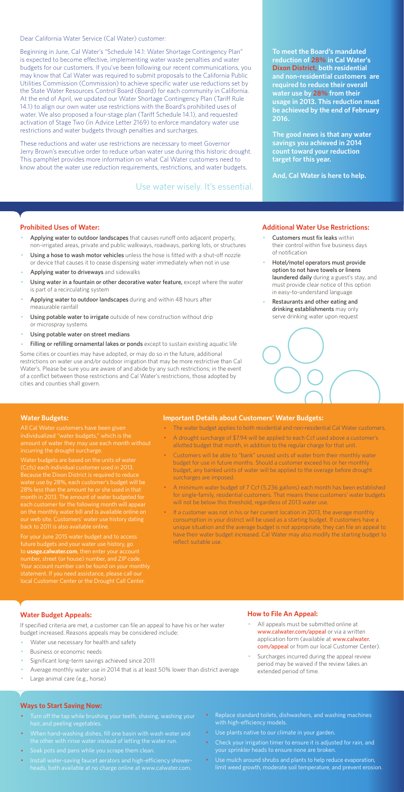Dear California Water Service (Cal Water) customer:

Beginning in June, Cal Water's "Schedule 14.1: Water Shortage Contingency Plan" is expected to become effective, implementing water waste penalties and water budgets for our customers. If you've been following our recent communications, you may know that Cal Water was required to submit proposals to the California Public Utilities Commission (Commission) to achieve specific water use reductions set by the State Water Resources Control Board (Board) for each community in California. At the end of April, we updated our Water Shortage Contingency Plan (Tariff Rule 14.1) to align our own water use restrictions with the Board's prohibited uses of water. We also proposed a four-stage plan (Tariff Schedule 14.1), and requested activation of Stage Two (in Advice Letter 2169) to enforce mandatory water use restrictions and water budgets through penalties and surcharges.

These reductions and water use restrictions are necessary to meet Governor Jerry Brown's executive order to reduce urban water use during this historic drought. This pamphlet provides more information on what Cal Water customers need to know about the water use reduction requirements, restrictions, and water budgets.

#### **Prohibited Uses of Water:**

- Applying water to outdoor landscapes that causes runoff onto adjacent property, non-irrigated areas, private and public walkways, roadways, parking lots, or structures
- Using a hose to wash motor vehicles unless the hose is fitted with a shut-off nozzle or device that causes it to cease dispensing water immediately when not in use
- Applying water to driveways and sidewalks
- Using water in a fountain or other decorative water feature, except where the water is part of a recirculating system
- Applying water to outdoor landscapes during and within 48 hours after measurable rainfall
- Using potable water to irrigate outside of new construction without drip or microspray systems
- Using potable water on street medians
- Filling or refilling ornamental lakes or ponds except to sustain existing aquatic life
- Customers must fix leaks within their control within five business days of notification
- Hotel/motel operators must provide option to not have towels or linens laundered daily during a guest's stay, and must provide clear notice of this option in easy-to-understand language
- Restaurants and other eating and drinking establishments may only serve drinking water upon request



- All appeals must be submitted online at www.calwater.com/appeal or via a written application form (available at www.calwater. com/appeal or from our local Customer Center).
- · Surcharges incurred during the appeal review period may be waived if the review takes an extended period of time.

Some cities or counties may have adopted, or may do so in the future, additional restrictions on water use and/or outdoor irrigation that may be more restrictive than Cal Water's. Please be sure you are aware of and abide by any such restrictions; in the event of a conflict between those restrictions and Cal Water's restrictions, those adopted by cities and counties shall govern.

- Turn off the tap while brushing your teeth, shaving, washing your hair, and peeling vegetables.
- · When hand-washing dishes, fill one basin with wash water and the other with rinse water instead of letting the water run.
- · Soak pots and pans while you scrape them clean.
- · Install water-saving faucet aerators and high-efficiency showerheads, both available at no charge online at www.calwater.com.
- Replace standard toilets, dishwashers, and washing machines with high-efficiency models.
- · Use plants native to our climate in your garden.
- Check your irrigation timer to ensure it is adjusted for rain, and your sprinkler heads to ensure none are broken.
- · Use mulch around shrubs and plants to help reduce evaporation, limit weed growth, moderate soil temperature, and prevent erosion.

**To meet the Board's mandated reduction of 28% in Cal Water's Dixon District, both residential and non-residential customers are required to reduce their overall water use by 28% from their usage in 2013. This reduction must be achieved by the end of February 2016.** 

**The good news is that any water savings you achieved in 2014 count toward your reduction target for this year.** 

**And, Cal Water is here to help.** 

#### **Additional Water Use Restrictions:**

## **Water Budget Appeals:**

If specified criteria are met, a customer can file an appeal to have his or her water budget increased. Reasons appeals may be considered include:

- Water use necessary for health and safety
- Business or economic needs
- Significant long-term savings achieved since 2011
- Average monthly water use in 2014 that is at least 50% lower than district average
- Large animal care (e.g., horse)

If a customer was not in his or her current location in 2013, the average monthly consumption in your district will be used as a starting budget. If customers have a unique situation and the average budget is not appropriate, they can file an appeal to have their water budget increased. Cal Water may also modify the starting budget to reflect suitable use.

## **How to File An Appeal:**

#### **Ways to Start Saving Now:**

Use water wisely. It's essential.

#### **Water Budgets:**

individualized "water budgets," which is the incurring the drought surcharge.

Water budgets are based on the units of water (Ccfs) each individual customer used in 2013. Because the Dixon District is required to reduce water use by 28%, each customer's budget will be 28% less than the amount he or she used in that month in 2013. The amount of water budgeted for each customer for the following month will appea on the monthly water bill and is available online on

For your June 2015 water budget and to access future budgets and your water use history, go to **usage.calwater.com**, then enter your account number, street (or house) number, and ZIP code. local Customer Center or the Drought Call Center.

#### **Important Details about Customers' Water Budgets:**

- · The water budget applies to both residential and non-residential Cal Water customers.
- A drought surcharge of \$7.94 will be applied to each Ccf used above a customer's allotted budget that month, in addition to the regular charge for that unit.
- · Customers will be able to "bank" unused units of water from their monthly water budget for use in future months. Should a customer exceed his or her monthly budget, any banked units of water will be applied to the overage before drought surcharges are imposed.
- · A minimum water budget of 7 Ccf (5,236 gallons) each month has been established for single-family, residential customers. That means these customers' water budgets will not be below this threshold, regardless of 2013 water use.